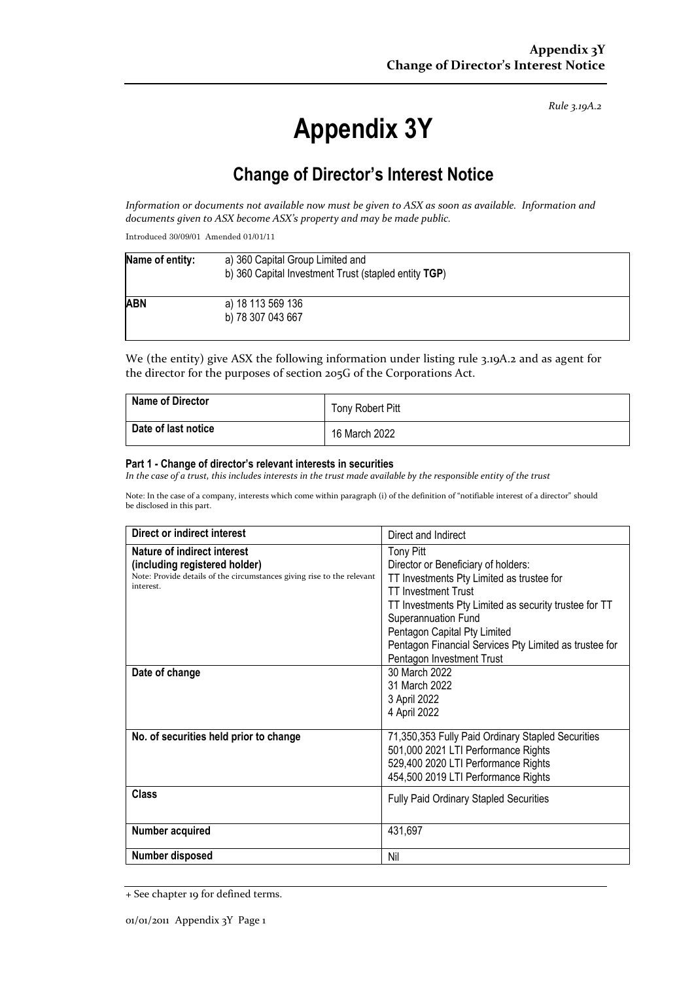*Rule 3.19A.2*

# **Appendix 3Y**

# **Change of Director's Interest Notice**

*Information or documents not available now must be given to ASX as soon as available. Information and documents given to ASX become ASX's property and may be made public.*

Introduced 30/09/01 Amended 01/01/11

| Name of entity: | a) 360 Capital Group Limited and<br>b) 360 Capital Investment Trust (stapled entity TGP) |  |
|-----------------|------------------------------------------------------------------------------------------|--|
| <b>ABN</b>      | a) 18 113 569 136<br>b) 78 307 043 667                                                   |  |

We (the entity) give ASX the following information under listing rule 3.19A.2 and as agent for the director for the purposes of section 205G of the Corporations Act.

| <b>Name of Director</b> | Tony Robert Pitt |
|-------------------------|------------------|
| Date of last notice     | 16 March 2022    |

#### **Part 1 - Change of director's relevant interests in securities**

*In the case of a trust, this includes interests in the trust made available by the responsible entity of the trust*

Note: In the case of a company, interests which come within paragraph (i) of the definition of "notifiable interest of a director" should be disclosed in this part.

| Direct or indirect interest                                                                                                                         | Direct and Indirect                                                                                                                                                                                                                                                                                                                       |  |
|-----------------------------------------------------------------------------------------------------------------------------------------------------|-------------------------------------------------------------------------------------------------------------------------------------------------------------------------------------------------------------------------------------------------------------------------------------------------------------------------------------------|--|
| Nature of indirect interest<br>(including registered holder)<br>Note: Provide details of the circumstances giving rise to the relevant<br>interest. | <b>Tony Pitt</b><br>Director or Beneficiary of holders:<br>TT Investments Pty Limited as trustee for<br><b>TT Investment Trust</b><br>TT Investments Pty Limited as security trustee for TT<br>Superannuation Fund<br>Pentagon Capital Pty Limited<br>Pentagon Financial Services Pty Limited as trustee for<br>Pentagon Investment Trust |  |
| Date of change                                                                                                                                      | 30 March 2022<br>31 March 2022<br>3 April 2022<br>4 April 2022                                                                                                                                                                                                                                                                            |  |
| No. of securities held prior to change                                                                                                              | 71,350,353 Fully Paid Ordinary Stapled Securities<br>501,000 2021 LTI Performance Rights<br>529,400 2020 LTI Performance Rights<br>454,500 2019 LTI Performance Rights                                                                                                                                                                    |  |
| <b>Class</b>                                                                                                                                        | <b>Fully Paid Ordinary Stapled Securities</b>                                                                                                                                                                                                                                                                                             |  |
| Number acquired                                                                                                                                     | 431,697                                                                                                                                                                                                                                                                                                                                   |  |
| Number disposed                                                                                                                                     | Nil                                                                                                                                                                                                                                                                                                                                       |  |

<sup>+</sup> See chapter 19 for defined terms.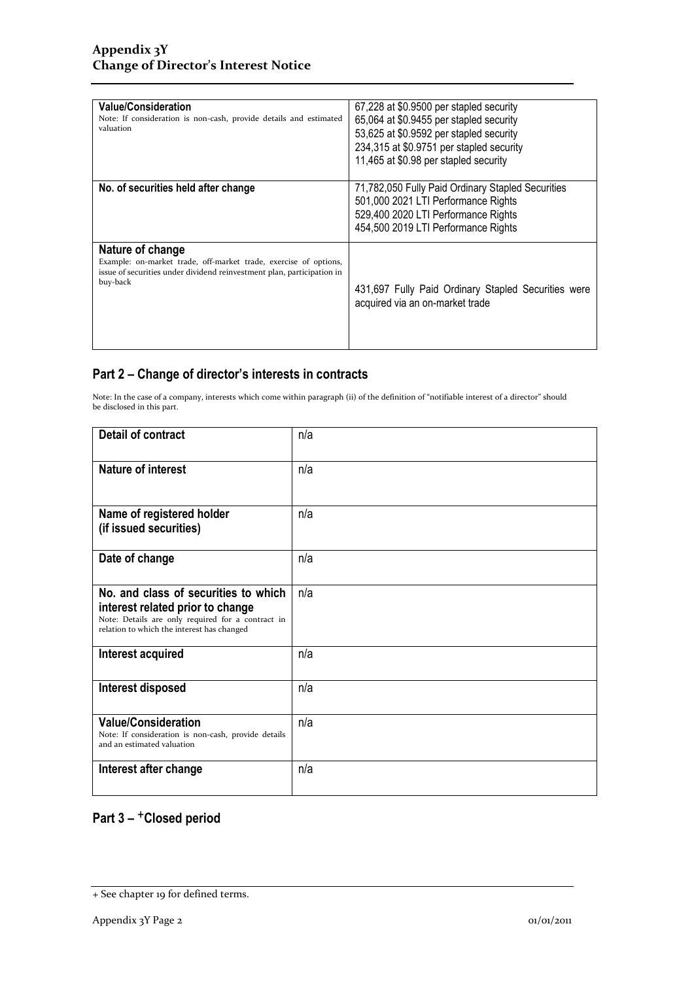| <b>Value/Consideration</b><br>Note: If consideration is non-cash, provide details and estimated<br>valuation                                                               | 67,228 at \$0.9500 per stapled security<br>65,064 at \$0.9455 per stapled security<br>53,625 at \$0.9592 per stapled security<br>234,315 at \$0.9751 per stapled security<br>11,465 at \$0.98 per stapled security |
|----------------------------------------------------------------------------------------------------------------------------------------------------------------------------|--------------------------------------------------------------------------------------------------------------------------------------------------------------------------------------------------------------------|
| No. of securities held after change                                                                                                                                        | 71,782,050 Fully Paid Ordinary Stapled Securities<br>501,000 2021 LTI Performance Rights<br>529,400 2020 LTI Performance Rights<br>454,500 2019 LTI Performance Rights                                             |
| Nature of change<br>Example: on-market trade, off-market trade, exercise of options,<br>issue of securities under dividend reinvestment plan, participation in<br>buy-back | 431,697 Fully Paid Ordinary Stapled Securities were<br>acquired via an on-market trade                                                                                                                             |

### **Part 2 – Change of director's interests in contracts**

Note: In the case of a company, interests which come within paragraph (ii) of the definition of "notifiable interest of a director" should be disclosed in this part.

| <b>Detail of contract</b>                                                                                                                                                   | n/a |
|-----------------------------------------------------------------------------------------------------------------------------------------------------------------------------|-----|
| <b>Nature of interest</b>                                                                                                                                                   | n/a |
| Name of registered holder<br>(if issued securities)                                                                                                                         | n/a |
| Date of change                                                                                                                                                              | n/a |
| No. and class of securities to which<br>interest related prior to change<br>Note: Details are only required for a contract in<br>relation to which the interest has changed | n/a |
| Interest acquired                                                                                                                                                           | n/a |
| Interest disposed                                                                                                                                                           | n/a |
| <b>Value/Consideration</b><br>Note: If consideration is non-cash, provide details<br>and an estimated valuation                                                             | n/a |
| Interest after change                                                                                                                                                       | n/a |

## **Part 3 –** +**Closed period**

<sup>+</sup> See chapter 19 for defined terms.